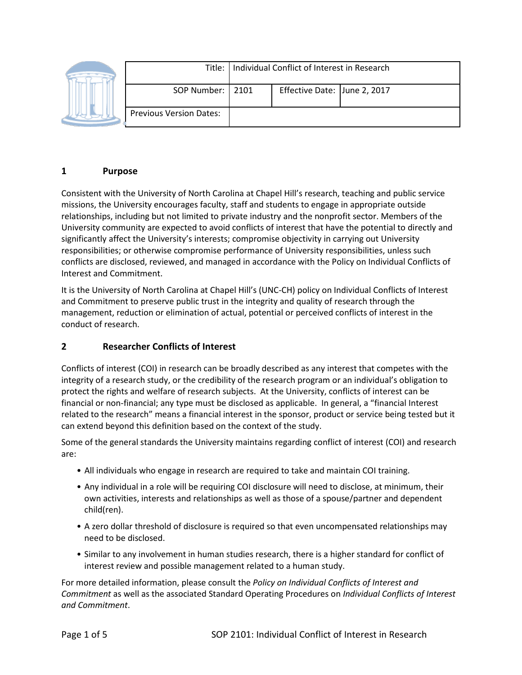|                                | Title:   Individual Conflict of Interest in Research |                              |  |
|--------------------------------|------------------------------------------------------|------------------------------|--|
| SOP Number:   2101             |                                                      | Effective Date: June 2, 2017 |  |
| <b>Previous Version Dates:</b> |                                                      |                              |  |

#### **1 Purpose**

Consistent with the University of North Carolina at Chapel Hill's research, teaching and public service missions, the University encourages faculty, staff and students to engage in appropriate outside relationships, including but not limited to private industry and the nonprofit sector. Members of the University community are expected to avoid conflicts of interest that have the potential to directly and significantly affect the University's interests; compromise objectivity in carrying out University responsibilities; or otherwise compromise performance of University responsibilities, unless such conflicts are disclosed, reviewed, and managed in accordance with the Policy on Individual Conflicts of Interest and Commitment.

It is the University of North Carolina at Chapel Hill's (UNC-CH) policy on Individual Conflicts of Interest and Commitment to preserve public trust in the integrity and quality of research through the management, reduction or elimination of actual, potential or perceived conflicts of interest in the conduct of research.

#### **2 Researcher Conflicts of Interest**

Conflicts of interest (COI) in research can be broadly described as any interest that competes with the integrity of a research study, or the credibility of the research program or an individual's obligation to protect the rights and welfare of research subjects. At the University, conflicts of interest can be financial or non-financial; any type must be disclosed as applicable. In general, a "financial Interest related to the research" means a financial interest in the sponsor, product or service being tested but it can extend beyond this definition based on the context of the study.

Some of the general standards the University maintains regarding conflict of interest (COI) and research are:

- All individuals who engage in research are required to take and maintain COI training.
- Any individual in a role will be requiring COI disclosure will need to disclose, at minimum, their own activities, interests and relationships as well as those of a spouse/partner and dependent child(ren).
- A zero dollar threshold of disclosure is required so that even uncompensated relationships may need to be disclosed.
- Similar to any involvement in human studies research, there is a higher standard for conflict of interest review and possible management related to a human study.

For more detailed information, please consult the *Policy on Individual Conflicts of Interest and Commitment* as well as the associated Standard Operating Procedures on *Individual Conflicts of Interest and Commitment*.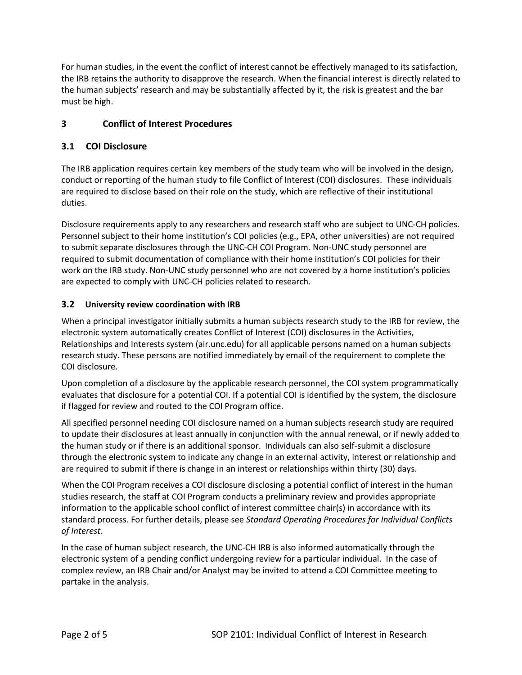For human studies, in the event the conflict of interest cannot be effectively managed to its satisfaction, the IRB retains the authority to disapprove the research. When the financial interest is directly related to the human subjects' research and may be substantially affected by it, the risk is greatest and the bar must be high.

# **3 Conflict of Interest Procedures**

### **3.1 COI Disclosure**

The IRB application requires certain key members of the study team who will be involved in the design, conduct or reporting of the human study to file Conflict of Interest (COI) disclosures. These individuals are required to disclose based on their role on the study, which are reflective of their institutional duties.

Disclosure requirements apply to any researchers and research staff who are subject to UNC-CH policies. Personnel subject to their home institution's COI policies (e.g., EPA, other universities) are not required to submit separate disclosures through the UNC-CH COI Program. Non-UNC study personnel are required to submit documentation of compliance with their home institution's COI policies for their work on the IRB study. Non-UNC study personnel who are not covered by a home institution's policies are expected to comply with UNC-CH policies related to research.

#### **3.2 University review coordination with IRB**

When a principal investigator initially submits a human subjects research study to the IRB for review, the electronic system automatically creates Conflict of Interest (COI) disclosures in the Activities, Relationships and Interests system (air.unc.edu) for all applicable persons named on a human subjects research study. These persons are notified immediately by email of the requirement to complete the COI disclosure.

Upon completion of a disclosure by the applicable research personnel, the COI system programmatically evaluates that disclosure for a potential COI. If a potential COI is identified by the system, the disclosure if flagged for review and routed to the COI Program office.

All specified personnel needing COI disclosure named on a human subjects research study are required to update their disclosures at least annually in conjunction with the annual renewal, or if newly added to the human study or if there is an additional sponsor. Individuals can also self-submit a disclosure through the electronic system to indicate any change in an external activity, interest or relationship and are required to submit if there is change in an interest or relationships within thirty (30) days.

When the COI Program receives a COI disclosure disclosing a potential conflict of interest in the human studies research, the staff at COI Program conducts a preliminary review and provides appropriate information to the applicable school conflict of interest committee chair(s) in accordance with its standard process. For further details, please see *Standard Operating Procedures for Individual Conflicts of Interest*.

In the case of human subject research, the UNC-CH IRB is also informed automatically through the electronic system of a pending conflict undergoing review for a particular individual. In the case of complex review, an IRB Chair and/or Analyst may be invited to attend a COI Committee meeting to partake in the analysis.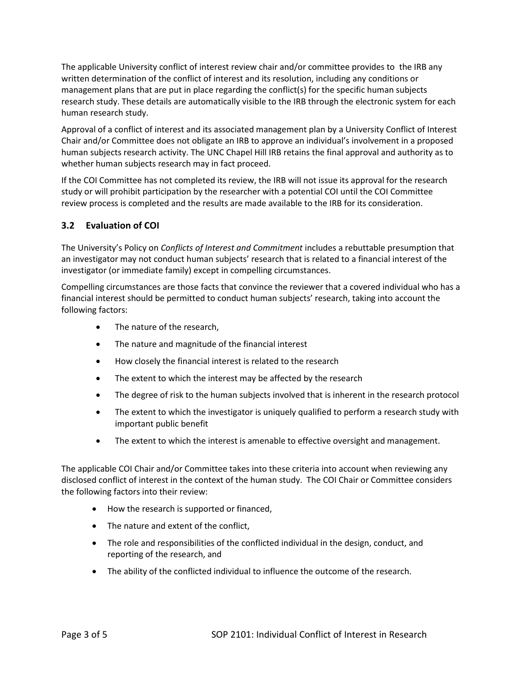The applicable University conflict of interest review chair and/or committee provides to the IRB any written determination of the conflict of interest and its resolution, including any conditions or management plans that are put in place regarding the conflict(s) for the specific human subjects research study. These details are automatically visible to the IRB through the electronic system for each human research study.

Approval of a conflict of interest and its associated management plan by a University Conflict of Interest Chair and/or Committee does not obligate an IRB to approve an individual's involvement in a proposed human subjects research activity. The UNC Chapel Hill IRB retains the final approval and authority as to whether human subjects research may in fact proceed.

If the COI Committee has not completed its review, the IRB will not issue its approval for the research study or will prohibit participation by the researcher with a potential COI until the COI Committee review process is completed and the results are made available to the IRB for its consideration.

#### **3.2 Evaluation of COI**

The University's Policy on *Conflicts of Interest and Commitment* includes a rebuttable presumption that an investigator may not conduct human subjects' research that is related to a financial interest of the investigator (or immediate family) except in compelling circumstances.

Compelling circumstances are those facts that convince the reviewer that a covered individual who has a financial interest should be permitted to conduct human subjects' research, taking into account the following factors:

- The nature of the research,
- The nature and magnitude of the financial interest
- How closely the financial interest is related to the research
- The extent to which the interest may be affected by the research
- The degree of risk to the human subjects involved that is inherent in the research protocol
- The extent to which the investigator is uniquely qualified to perform a research study with important public benefit
- The extent to which the interest is amenable to effective oversight and management.

The applicable COI Chair and/or Committee takes into these criteria into account when reviewing any disclosed conflict of interest in the context of the human study. The COI Chair or Committee considers the following factors into their review:

- How the research is supported or financed,
- The nature and extent of the conflict,
- The role and responsibilities of the conflicted individual in the design, conduct, and reporting of the research, and
- The ability of the conflicted individual to influence the outcome of the research.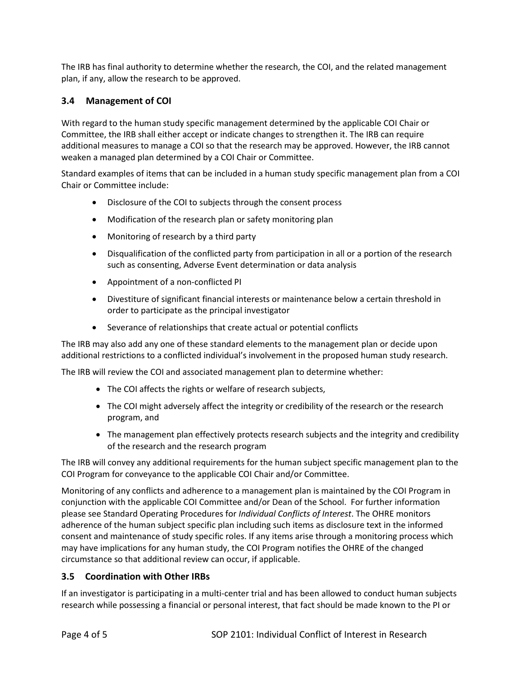The IRB has final authority to determine whether the research, the COI, and the related management plan, if any, allow the research to be approved.

## **3.4 Management of COI**

With regard to the human study specific management determined by the applicable COI Chair or Committee, the IRB shall either accept or indicate changes to strengthen it. The IRB can require additional measures to manage a COI so that the research may be approved. However, the IRB cannot weaken a managed plan determined by a COI Chair or Committee.

Standard examples of items that can be included in a human study specific management plan from a COI Chair or Committee include:

- Disclosure of the COI to subjects through the consent process
- Modification of the research plan or safety monitoring plan
- Monitoring of research by a third party
- Disqualification of the conflicted party from participation in all or a portion of the research such as consenting, Adverse Event determination or data analysis
- Appointment of a non-conflicted PI
- Divestiture of significant financial interests or maintenance below a certain threshold in order to participate as the principal investigator
- Severance of relationships that create actual or potential conflicts

The IRB may also add any one of these standard elements to the management plan or decide upon additional restrictions to a conflicted individual's involvement in the proposed human study research.

The IRB will review the COI and associated management plan to determine whether:

- The COI affects the rights or welfare of research subjects,
- The COI might adversely affect the integrity or credibility of the research or the research program, and
- The management plan effectively protects research subjects and the integrity and credibility of the research and the research program

The IRB will convey any additional requirements for the human subject specific management plan to the COI Program for conveyance to the applicable COI Chair and/or Committee.

Monitoring of any conflicts and adherence to a management plan is maintained by the COI Program in conjunction with the applicable COI Committee and/or Dean of the School. For further information please see Standard Operating Procedures for *Individual Conflicts of Interest*. The OHRE monitors adherence of the human subject specific plan including such items as disclosure text in the informed consent and maintenance of study specific roles. If any items arise through a monitoring process which may have implications for any human study, the COI Program notifies the OHRE of the changed circumstance so that additional review can occur, if applicable.

#### **3.5 Coordination with Other IRBs**

If an investigator is participating in a multi-center trial and has been allowed to conduct human subjects research while possessing a financial or personal interest, that fact should be made known to the PI or